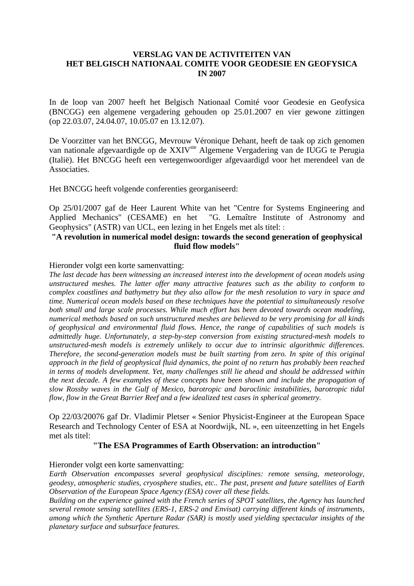# **VERSLAG VAN DE ACTIVITEITEN VAN HET BELGISCH NATIONAAL COMITE VOOR GEODESIE EN GEOFYSICA IN 2007**

In de loop van 2007 heeft het Belgisch Nationaal Comité voor Geodesie en Geofysica (BNCGG) een algemene vergadering gehouden op 25.01.2007 en vier gewone zittingen (op 22.03.07, 24.04.07, 10.05.07 en 13.12.07).

De Voorzitter van het BNCGG, Mevrouw Véronique Dehant, heeft de taak op zich genomen van nationale afgevaardigde op de XXIV<sup>ste</sup> Algemene Vergadering van de IUGG te Perugia (Italië). Het BNCGG heeft een vertegenwoordiger afgevaardigd voor het merendeel van de Associaties.

Het BNCGG heeft volgende conferenties georganiseerd:

Op 25/01/2007 gaf de Heer Laurent White van het "Centre for Systems Engineering and Applied Mechanics" (CESAME) en het "G. Lemaître Institute of Astronomy and Geophysics" (ASTR) van UCL, een lezing in het Engels met als titel: :

## **"A revolution in numerical model design: towards the second generation of geophysical fluid flow models"**

## Hieronder volgt een korte samenvatting:

*The last decade has been witnessing an increased interest into the development of ocean models using unstructured meshes. The latter offer many attractive features such as the ability to conform to complex coastlines and bathymetry but they also allow for the mesh resolution to vary in space and time. Numerical ocean models based on these techniques have the potential to simultaneously resolve both small and large scale processes. While much effort has been devoted towards ocean modeling, numerical methods based on such unstructured meshes are believed to be very promising for all kinds of geophysical and environmental fluid flows. Hence, the range of capabilities of such models is admittedly huge. Unfortunately, a step-by-step conversion from existing structured-mesh models to unstructured-mesh models is extremely unlikely to occur due to intrinsic algorithmic differences. Therefore, the second-generation models must be built starting from zero. In spite of this original approach in the field of geophysical fluid dynamics, the point of no return has probably been reached in terms of models development. Yet, many challenges still lie ahead and should be addressed within the next decade. A few examples of these concepts have been shown and include the propagation of slow Rossby waves in the Gulf of Mexico, barotropic and baroclinic instabilities, barotropic tidal flow, flow in the Great Barrier Reef and a few idealized test cases in spherical geometry.* 

Op 22/03/20076 gaf Dr. Vladimir Pletser « Senior Physicist-Engineer at the European Space Research and Technology Center of ESA at Noordwijk, NL », een uiteenzetting in het Engels met als titel:

### **"The ESA Programmes of Earth Observation: an introduction"**

### Hieronder volgt een korte samenvatting:

*Earth Observation encompasses several geophysical disciplines: remote sensing, meteorology, geodesy, atmospheric studies, cryosphere studies, etc.. The past, present and future satellites of Earth Observation of the European Space Agency (ESA) cover all these fields.* 

*Building on the experience gained with the French series of SPOT satellites, the Agency has launched several remote sensing satellites (ERS-1, ERS-2 and Envisat) carrying different kinds of instruments, among which the Synthetic Aperture Radar (SAR) is mostly used yielding spectacular insights of the planetary surface and subsurface features.*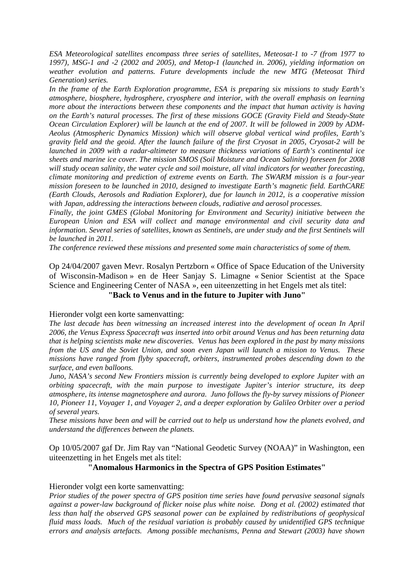*ESA Meteorological satellites encompass three series of satellites, Meteosat-1 to -7 (from 1977 to 1997), MSG-1 and -2 (2002 and 2005), and Metop-1 (launched in. 2006), yielding information on weather evolution and patterns. Future developments include the new MTG (Meteosat Third Generation) series.* 

*In the frame of the Earth Exploration programme, ESA is preparing six missions to study Earth's atmosphere, biosphere, hydrosphere, cryosphere and interior, with the overall emphasis on learning more about the interactions between these components and the impact that human activity is having on the Earth's natural processes. The first of these missions GOCE (Gravity Field and Steady-State Ocean Circulation Explorer) will be launch at the end of 2007. It will be followed in 2009 by ADM-Aeolus (Atmospheric Dynamics Mission) which will observe global vertical wind profiles, Earth's gravity field and the geoid. After the launch failure of the first Cryosat in 2005, Cryosat-2 will be launched in 2009 with a radar-altimeter to measure thickness variations of Earth's continental ice sheets and marine ice cover. The mission SMOS (Soil Moisture and Ocean Salinity) foreseen for 2008 will study ocean salinity, the water cycle and soil moisture, all vital indicators for weather forecasting, climate monitoring and prediction of extreme events on Earth. The SWARM mission is a four-year mission foreseen to be launched in 2010, designed to investigate Earth's magnetic field. EarthCARE (Earth Clouds, Aerosols and Radiation Explorer), due for launch in 2012, is a cooperative mission with Japan, addressing the interactions between clouds, radiative and aerosol processes.* 

*Finally, the joint GMES (Global Monitoring for Environment and Security) initiative between the European Union and ESA will collect and manage environmental and civil security data and information. Several series of satellites, known as Sentinels, are under study and the first Sentinels will be launched in 2011.* 

*The conference reviewed these missions and presented some main characteristics of some of them.* 

Op 24/04/2007 gaven Mevr. Rosalyn Pertzborn « Office of Space Education of the University of Wisconsin-Madison » en de Heer Sanjay S. Limagne « Senior Scientist at the Space Science and Engineering Center of NASA », een uiteenzetting in het Engels met als titel: **"Back to Venus and in the future to Jupiter with Juno"**

### Hieronder volgt een korte samenvatting:

*The last decade has been witnessing an increased interest into the development of ocean In April 2006, the Venus Express Spacecraft was inserted into orbit around Venus and has been returning data that is helping scientists make new discoveries. Venus has been explored in the past by many missions from the US and the Soviet Union, and soon even Japan will launch a mission to Venus. These missions have ranged from flyby spacecraft, orbiters, instrumented probes descending down to the surface, and even balloons.* 

*Juno, NASA's second New Frontiers mission is currently being developed to explore Jupiter with an orbiting spacecraft, with the main purpose to investigate Jupiter's interior structure, its deep atmosphere, its intense magnetosphere and aurora. Juno follows the fly-by survey missions of Pioneer 10, Pioneer 11, Voyager 1, and Voyager 2, and a deeper exploration by Galileo Orbiter over a period of several years.* 

*These missions have been and will be carried out to help us understand how the planets evolved, and understand the differences between the planets.* 

Op 10/05/2007 gaf Dr. Jim Ray van "National Geodetic Survey (NOAA)" in Washington, een uiteenzetting in het Engels met als titel:

### **"Anomalous Harmonics in the Spectra of GPS Position Estimates"**

### Hieronder volgt een korte samenvatting:

*Prior studies of the power spectra of GPS position time series have found pervasive seasonal signals against a power-law background of flicker noise plus white noise. Dong et al. (2002) estimated that less than half the observed GPS seasonal power can be explained by redistributions of geophysical fluid mass loads. Much of the residual variation is probably caused by unidentified GPS technique errors and analysis artefacts. Among possible mechanisms, Penna and Stewart (2003) have shown*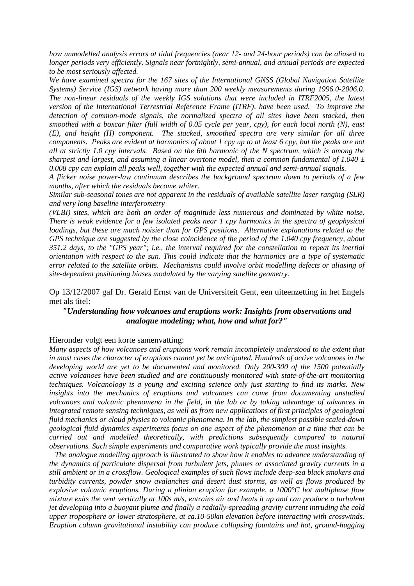*how unmodelled analysis errors at tidal frequencies (near 12- and 24-hour periods) can be aliased to longer periods very efficiently. Signals near fortnightly, semi-annual, and annual periods are expected to be most seriously affected.* 

*We have examined spectra for the 167 sites of the International GNSS (Global Navigation Satellite Systems) Service (IGS) network having more than 200 weekly measurements during 1996.0-2006.0. The non-linear residuals of the weekly IGS solutions that were included in ITRF2005, the latest version of the International Terrestrial Reference Frame (ITRF), have been used. To improve the detection of common-mode signals, the normalized spectra of all sites have been stacked, then smoothed with a boxcar filter (full width of 0.05 cycle per year, cpy), for each local north (N), east (E), and height (H) component. The stacked, smoothed spectra are very similar for all three components. Peaks are evident at harmonics of about 1 cpy up to at least 6 cpy, but the peaks are not all at strictly 1.0 cpy intervals. Based on the 6th harmonic of the N spectrum, which is among the sharpest and largest, and assuming a linear overtone model, then a common fundamental of 1.040 ± 0.008 cpy can explain all peaks well, together with the expected annual and semi-annual signals.* 

*A flicker noise power-law continuum describes the background spectrum down to periods of a few months, after which the residuals become whiter.* 

*Similar sub-seasonal tones are not apparent in the residuals of available satellite laser ranging (SLR) and very long baseline interferometry* 

*(VLBI) sites, which are both an order of magnitude less numerous and dominated by white noise. There is weak evidence for a few isolated peaks near 1 cpy harmonics in the spectra of geophysical loadings, but these are much noisier than for GPS positions. Alternative explanations related to the GPS technique are suggested by the close coincidence of the period of the 1.040 cpy frequency, about 351.2 days, to the "GPS year"; i.e., the interval required for the constellation to repeat its inertial orientation with respect to the sun. This could indicate that the harmonics are a type of systematic error related to the satellite orbits. Mechanisms could involve orbit modelling defects or aliasing of site-dependent positioning biases modulated by the varying satellite geometry.* 

Op 13/12/2007 gaf Dr. Gerald Ernst van de Universiteit Gent, een uiteenzetting in het Engels met als titel:

## *"Understanding how volcanoes and eruptions work: Insights from observations and analogue modeling; what, how and what for?"*

#### Hieronder volgt een korte samenvatting:

*Many aspects of how volcanoes and eruptions work remain incompletely understood to the extent that in most cases the character of eruptions cannot yet be anticipated. Hundreds of active volcanoes in the developing world are yet to be documented and monitored. Only 200-300 of the 1500 potentially active volcanoes have been studied and are continuously monitored with state-of-the-art monitoring techniques. Volcanology is a young and exciting science only just starting to find its marks. New insights into the mechanics of eruptions and volcanoes can come from documenting unstudied volcanoes and volcanic phenomena in the field, in the lab or by taking advantage of advances in integrated remote sensing techniques, as well as from new applications of first principles of geological fluid mechanics or cloud physics to volcanic phenomena. In the lab, the simplest possible scaled-down geological fluid dynamics experiments focus on one aspect of the phenomenon at a time that can be carried out and modelled theoretically, with predictions subsequently compared to natural observations. Such simple experiments and comparative work typically provide the most insights.* 

 *The analogue modelling approach is illustrated to show how it enables to advance understanding of the dynamics of particulate dispersal from turbulent jets, plumes or associated gravity currents in a still ambient or in a crossflow. Geological examples of such flows include deep-sea black smokers and turbidity currents, powder snow avalanches and desert dust storms, as well as flows produced by explosive volcanic eruptions. During a plinian eruption for example, a 1000°C hot multiphase flow mixture exits the vent vertically at 100s m/s, entrains air and heats it up and can produce a turbulent jet developing into a buoyant plume and finally a radially-spreading gravity current intruding the cold upper troposphere or lower stratosphere, at ca.10-50km elevation before interacting with crosswinds. Eruption column gravitational instability can produce collapsing fountains and hot, ground-hugging*